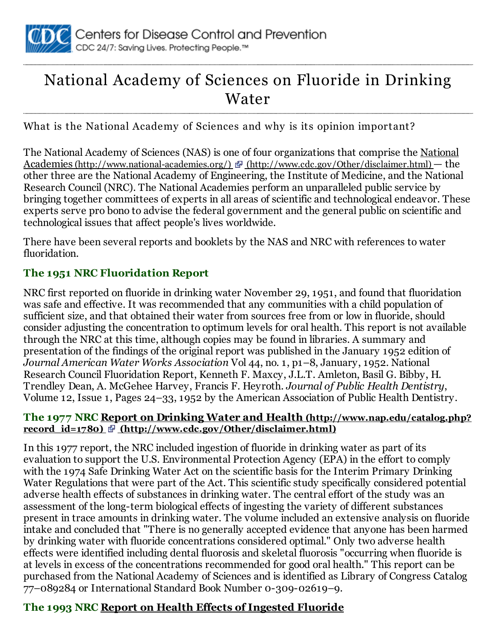

# National Academy of Sciences on Fluoride in Drinking Water

What is the National Academy of Sciences and why is its opinion important?

The National Academy of Sciences (NAS) is one of four organizations that comprise the National Academies (http://www.national-academies.org/) & [\(http://www.cdc.gov/Other/disclaimer.html\)](http://www.national-academies.org/) — the other three are the National Academy of Engineering, the Institute of Medicine, and the National Research Council (NRC). The National Academies perform an unparalleled public service by bringing together committees of experts in all areas of scientific and technological endeavor. These experts serve pro bono to advise the federal government and the general public on scientific and technological issues that affect people's lives worldwide.

There have been several reports and booklets by the NAS and NRC with references to water fluoridation.

## The 1951 NRC Fluoridation Report

NRC first reported on fluoride in drinking water November 29, 1951, and found that fluoridation was safe and effective. It was recommended that any communities with a child population of sufficient size, and that obtained their water from sources free from or low in fluoride, should consider adjusting the concentration to optimum levels for oral health. This report is not available through the NRC at this time, although copies may be found in libraries. A summary and presentation of the findings of the original report was published in the January 1952 edition of *Journal American Water Works Association* Vol 44, no. 1, p1–8, January, 1952. National Research Council Fluoridation Report, Kenneth F. Maxcy, J.L.T. Amleton, Basil G. Bibby, H. Trendley Dean, A. McGehee Harvey, Francis F. Heyroth. *Journal of Public Health Dentistry*, Volume 12, Issue 1, Pages 24–33, 1952 by the American Association of Public Health Dentistry.

### The 1977 NRC Report on Drinking Water and Health (http://www.nap.edu/catalog.php? record  $id=1780$   $\Phi$  [\(http://www.cdc.gov/Other/disclaimer.html\)](http://www.nap.edu/catalog.php?record_id=1780)

In this 1977 report, the NRC included ingestion of fluoride in drinking water as part of its evaluation to support the U.S. Environmental Protection Agency (EPA) in the effort to comply with the 1974 Safe Drinking Water Act on the scientific basis for the Interim Primary Drinking Water Regulations that were part of the Act. This scientific study specifically considered potential adverse health effects of substances in drinking water. The central effort of the study was an assessment of the long-term biological effects of ingesting the variety of different substances present in trace amounts in drinking water. The volume included an extensive analysis on fluoride intake and concluded that "There is no generally accepted evidence that anyone has been harmed by drinking water with fluoride concentrations considered optimal." Only two adverse health effects were identified including dental fluorosis and skeletal fluorosis "occurring when fluoride is at levels in excess of the concentrations recommended for good oral health." This report can be purchased from the National Academy of Sciences and is identified as Library of Congress Catalog 77–089284 or International Standard Book Number 0-309-02619–9.

## The 1993 NRC Report on Health Effects of Ingested [Fluoride](http://books.nap.edu/openbook.php?isbn=030904975X&page=R1)